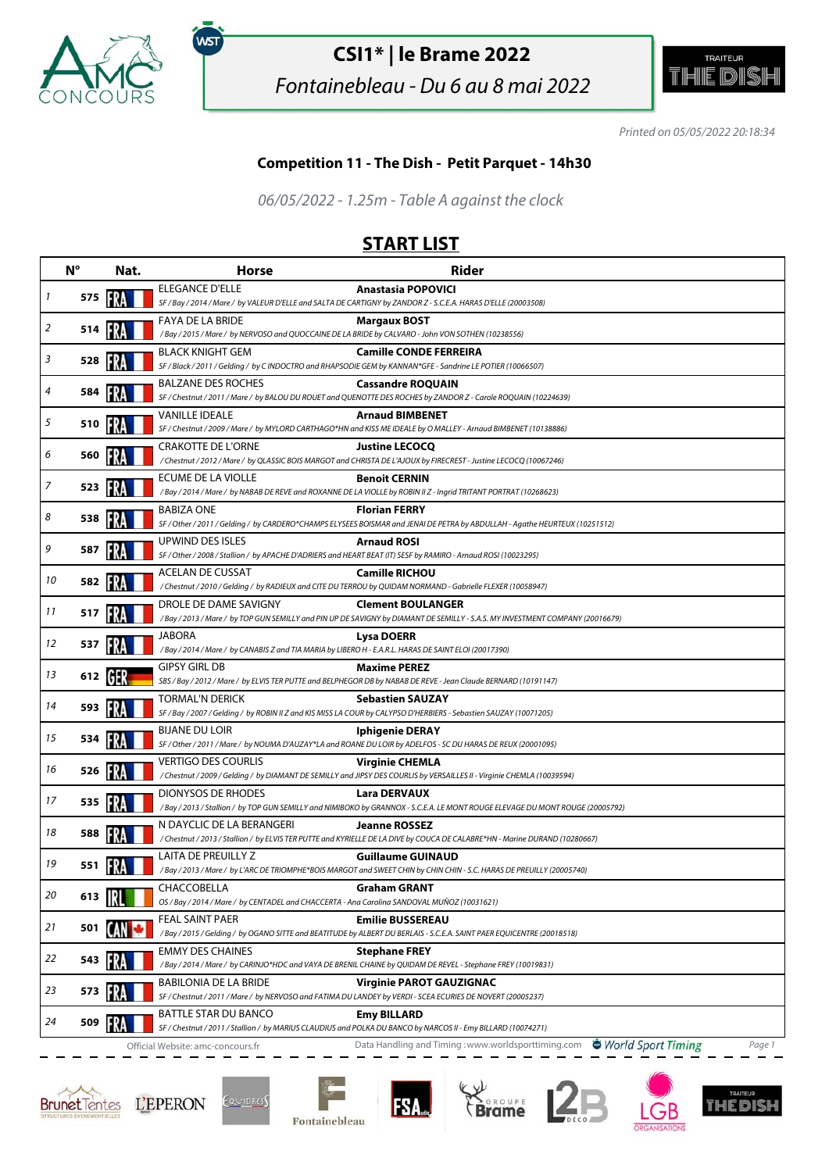

,<br>wsт

## **CSI1\* | le Brame 2022**

Fontainebleau - Du 6 au 8 mai 2022



Printed on 05/05/2022 20:18:34

#### **Competition 11 - The Dish - Petit Parquet - 14h30**

06/05/2022 - 1.25m - Table A against the clock

### **START LIST**

|    | $N^{\circ}$ | Nat. | <b>Horse</b>                                                                                                   | <b>Rider</b>                                                                                                                                               |
|----|-------------|------|----------------------------------------------------------------------------------------------------------------|------------------------------------------------------------------------------------------------------------------------------------------------------------|
| 1  | 575         |      | ELEGANCE D'ELLE                                                                                                | <b>Anastasia POPOVICI</b><br>SF / Bay / 2014 / Mare / by VALEUR D'ELLE and SALTA DE CARTIGNY by ZANDOR Z - S.C.E.A. HARAS D'ELLE (20003508)                |
|    |             |      | FAYA DE LA BRIDE                                                                                               |                                                                                                                                                            |
| 2  | 514         |      | /Bay / 2015 / Mare / by NERVOSO and QUOCCAINE DE LA BRIDE by CALVARO - John VON SOTHEN (10238556)              | <b>Margaux BOST</b>                                                                                                                                        |
| 3  |             |      | <b>BLACK KNIGHT GEM</b>                                                                                        | <b>Camille CONDE FERREIRA</b>                                                                                                                              |
|    | 528         |      |                                                                                                                | SF / Black / 2011 / Gelding / by C INDOCTRO and RHAPSODIE GEM by KANNAN*GFE - Sandrine LE POTIER (10066507)                                                |
| 4  | 584         |      | <b>BALZANE DES ROCHES</b>                                                                                      | <b>Cassandre ROQUAIN</b><br>SF / Chestnut / 2011 / Mare / by BALOU DU ROUET and QUENOTTE DES ROCHES by ZANDOR Z - Carole ROQUAIN (10224639)                |
|    |             |      | <b>VANILLE IDEALE</b>                                                                                          | <b>Arnaud BIMBENET</b>                                                                                                                                     |
| 5  | 510         | FRA  |                                                                                                                | SF / Chestnut / 2009 / Mare / by MYLORD CARTHAGO*HN and KISS ME IDEALE by O MALLEY - Arnaud BIMBENET (10138886)                                            |
| 6  | 560         |      | <b>CRAKOTTE DE L'ORNE</b>                                                                                      | <b>Justine LECOCQ</b><br>/ Chestnut / 2012 / Mare / by QLASSIC BOIS MARGOT and CHRISTA DE L'AJOUX by FIRECREST - Justine LECOCQ (10067246)                 |
|    |             |      | ECUME DE LA VIOLLE                                                                                             | <b>Benoit CERNIN</b>                                                                                                                                       |
| 7  | 523         |      |                                                                                                                | /Bay / 2014 / Mare / by NABAB DE REVE and ROXANNE DE LA VIOLLE by ROBIN II Z - Ingrid TRITANT PORTRAT (10268623)                                           |
| 8  | 538         |      | <b>BABIZA ONE</b>                                                                                              | <b>Florian FERRY</b>                                                                                                                                       |
|    |             |      | UPWIND DES ISLES                                                                                               | SF / Other / 2011 / Gelding / by CARDERO*CHAMPS ELYSEES BOISMAR and JENAI DE PETRA by ABDULLAH - Agathe HEURTEUX (10251512)<br><b>Arnaud ROSI</b>          |
| 9  | 587         |      | SF / Other / 2008 / Stallion / by APACHE D'ADRIERS and HEART BEAT (IT) SESF by RAMIRO - Arnaud ROSI (10023295) |                                                                                                                                                            |
|    |             |      | <b>ACELAN DE CUSSAT</b>                                                                                        | <b>Camille RICHOU</b>                                                                                                                                      |
| 10 | 582         |      |                                                                                                                | / Chestnut / 2010 / Gelding / by RADIEUX and CITE DU TERROU by QUIDAM NORMAND - Gabrielle FLEXER (10058947)                                                |
| 11 | 517         |      | DROLE DE DAME SAVIGNY                                                                                          | <b>Clement BOULANGER</b><br>/ Bay / 2013 / Mare / by TOP GUN SEMILLY and PIN UP DE SAVIGNY by DIAMANT DE SEMILLY - S.A.S. MY INVESTMENT COMPANY (20016679) |
|    |             |      | JABORA                                                                                                         | Lysa DOERR                                                                                                                                                 |
| 12 | 537         |      | /Bay / 2014 / Mare / by CANABIS Z and TIA MARIA by LIBERO H - E.A.R.L. HARAS DE SAINT ELOI (20017390)          |                                                                                                                                                            |
| 13 | 612         | GER  | <b>GIPSY GIRL DB</b>                                                                                           | <b>Maxime PEREZ</b>                                                                                                                                        |
|    |             |      |                                                                                                                | SBS / Bay / 2012 / Mare / by ELVIS TER PUTTE and BELPHEGOR DB by NABAB DE REVE - Jean Claude BERNARD (10191147)                                            |
| 14 | 593         |      | <b>TORMAL'N DERICK</b>                                                                                         | <b>Sebastien SAUZAY</b><br>SF / Bay / 2007 / Gelding / by ROBIN II Z and KIS MISS LA COUR by CALYPSO D'HERBIERS - Sebastien SAUZAY (10071205)              |
|    |             |      | <b>BIJANE DU LOIR</b>                                                                                          | <b>Iphigenie DERAY</b>                                                                                                                                     |
| 15 | 534         |      |                                                                                                                | SF / Other / 2011 / Mare / by NOUMA D'AUZAY*LA and ROANE DU LOIR by ADELFOS - SC DU HARAS DE REUX (20001095)                                               |
| 16 | 526         |      | <b>VERTIGO DES COURLIS</b>                                                                                     | <b>Virginie CHEMLA</b>                                                                                                                                     |
|    |             |      |                                                                                                                | /Chestnut/2009/Gelding/ by DIAMANT DE SEMILLY and JIPSY DES COURLIS by VERSAILLES II - Virginie CHEMLA (10039594)                                          |
| 17 | 535         |      | <b>DIONYSOS DE RHODES</b>                                                                                      | <b>Lara DERVAUX</b><br>/Bay / 2013 / Stallion / by TOP GUN SEMILLY and NIMIBOKO by GRANNOX - S.C.E.A. LE MONT ROUGE ELEVAGE DU MONT ROUGE (20005792)       |
|    |             |      | N DAYCLIC DE LA BERANGERI                                                                                      | <b>Jeanne ROSSEZ</b>                                                                                                                                       |
| 18 | 588         |      |                                                                                                                | /Chestnut/2013/Stallion/by ELVIS TER PUTTE and KYRIELLE DE LA DIVE by COUCA DE CALABRE*HN - Marine DURAND (10280667)                                       |
| 19 | 551         |      | LAITA DE PREUILLY Z                                                                                            | <b>Guillaume GUINAUD</b>                                                                                                                                   |
|    |             |      | CHACCOBELLA                                                                                                    | /Bay / 2013 / Mare / by L'ARC DE TRIOMPHE*BOIS MARGOT and SWEET CHIN by CHIN CHIN - S.C. HARAS DE PREUILLY (20005740)                                      |
| 20 | 613         |      | OS / Bay / 2014 / Mare / by CENTADEL and CHACCERTA - Ana Carolina SANDOVAL MUÑOZ (10031621)                    | <b>Graham GRANT</b>                                                                                                                                        |
|    |             |      | FEAL SAINT PAER                                                                                                | <b>Emilie BUSSEREAU</b>                                                                                                                                    |
| 21 | 501         |      |                                                                                                                | /Bay / 2015 / Gelding / by OGANO SITTE and BEATITUDE by ALBERT DU BERLAIS - S.C.E.A. SAINT PAER EQUICENTRE (20018518)                                      |
| 22 | 543         |      | <b>EMMY DES CHAINES</b>                                                                                        | <b>Stephane FREY</b><br>/ Bay / 2014 / Mare / by CARINJO*HDC and VAYA DE BRENIL CHAINE by QUIDAM DE REVEL - Stephane FREY (10019831)                       |
|    |             |      | BABILONIA DE LA BRIDE                                                                                          |                                                                                                                                                            |
| 23 | 573         |      |                                                                                                                | <b>Virginie PAROT GAUZIGNAC</b><br>SF / Chestnut / 2011 / Mare / by NERVOSO and FATIMA DU LANDEY by VERDI - SCEA ECURIES DE NOVERT (20005237)              |
|    |             |      | <b>BATTLE STAR DU BANCO</b>                                                                                    | <b>Emy BILLARD</b>                                                                                                                                         |
| 24 | 509         |      |                                                                                                                | SF / Chestnut / 2011 / Stallion / by MARIUS CLAUDIUS and POLKA DU BANCO by NARCOS II - Emy BILLARD (10074271)                                              |
|    |             |      | Official Website: amc-concours.fr                                                                              | World Sport Timing<br>Data Handling and Timing: www.worldsporttiming.com<br>Page 1                                                                         |







**FSA** 







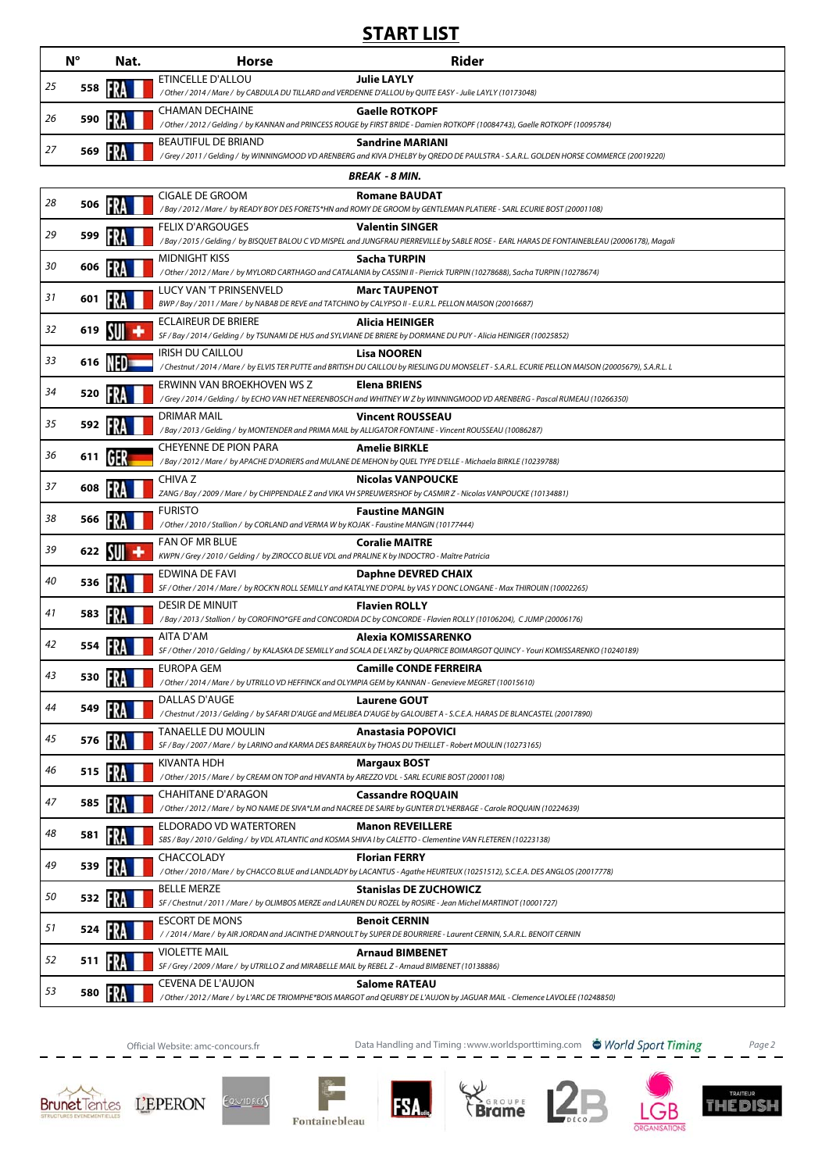### **START LIST**

|    | $N^{\circ}$    | Nat. | <b>Horse</b>                                                                                                                         | <b>Rider</b>                                                                                                                                                              |  |  |  |  |  |
|----|----------------|------|--------------------------------------------------------------------------------------------------------------------------------------|---------------------------------------------------------------------------------------------------------------------------------------------------------------------------|--|--|--|--|--|
| 25 | 558            |      | ETINCELLE D'ALLOU                                                                                                                    | <b>Julie LAYLY</b><br>/ Other / 2014 / Mare / by CABDULA DU TILLARD and VERDENNE D'ALLOU by QUITE EASY - Julie LAYLY (10173048)                                           |  |  |  |  |  |
| 26 | 590            |      | <b>CHAMAN DECHAINE</b>                                                                                                               | <b>Gaelle ROTKOPF</b><br>/ Other / 2012 / Gelding / by KANNAN and PRINCESS ROUGE by FIRST BRIDE - Damien ROTKOPF (10084743), Gaelle ROTKOPF (10095784)                    |  |  |  |  |  |
| 27 | 569            |      | BEAUTIFUL DE BRIAND                                                                                                                  | <b>Sandrine MARIANI</b><br>/Grey / 2011 / Gelding / by WINNINGMOOD VD ARENBERG and KIVA D'HELBY by QREDO DE PAULSTRA - S.A.R.L. GOLDEN HORSE COMMERCE (20019220)          |  |  |  |  |  |
|    | BREAK - 8 MIN. |      |                                                                                                                                      |                                                                                                                                                                           |  |  |  |  |  |
| 28 | 506            |      | CIGALE DE GROOM                                                                                                                      | <b>Romane BAUDAT</b><br>/Bay / 2012 / Mare / by READY BOY DES FORETS*HN and ROMY DE GROOM by GENTLEMAN PLATIERE - SARL ECURIE BOST (20001108)                             |  |  |  |  |  |
| 29 | 599            |      | <b>FELIX D'ARGOUGES</b>                                                                                                              | <b>Valentin SINGER</b><br>/Bay/2015/Gelding/by BISQUET BALOU CVD MISPEL and JUNGFRAU PIERREVILLE by SABLE ROSE - EARL HARAS DE FONTAINEBLEAU (20006178), Magali           |  |  |  |  |  |
| 30 | 606            |      | <b>MIDNIGHT KISS</b>                                                                                                                 | Sacha TURPIN<br>/ Other / 2012 / Mare / by MYLORD CARTHAGO and CATALANIA by CASSINI II - Pierrick TURPIN (10278688), Sacha TURPIN (10278674)                              |  |  |  |  |  |
| 31 | 601            |      | LUCY VAN 'T PRINSENVELD<br>BWP / Bay / 2011 / Mare / by NABAB DE REVE and TATCHINO by CALYPSO II - E.U.R.L. PELLON MAISON (20016687) | <b>Marc TAUPENOT</b>                                                                                                                                                      |  |  |  |  |  |
|    |                |      | <b>ECLAIREUR DE BRIERE</b>                                                                                                           | Alicia HEINIGER                                                                                                                                                           |  |  |  |  |  |
| 32 | 619            |      |                                                                                                                                      | SF / Bay / 2014 / Gelding / by TSUNAMI DE HUS and SYLVIANE DE BRIERE by DORMANE DU PUY - Alicia HEINIGER (10025852)                                                       |  |  |  |  |  |
| 33 | 616            |      | <b>IRISH DU CAILLOU</b>                                                                                                              | <b>Lisa NOOREN</b><br>/ Chestnut / 2014 / Mare / by ELVIS TER PUTTE and BRITISH DU CAILLOU by RIESLING DU MONSELET - S.A.R.L. ECURIE PELLON MAISON (20005679), S.A.R.L. L |  |  |  |  |  |
| 34 | 520            |      | ERWINN VAN BROEKHOVEN WS Z                                                                                                           | <b>Elena BRIENS</b><br>/Grey / 2014 / Gelding / by ECHO VAN HET NEERENBOSCH and WHITNEY W Z by WINNINGMOOD VD ARENBERG - Pascal RUMEAU (10266350)                         |  |  |  |  |  |
| 35 | 592            |      | <b>DRIMAR MAIL</b>                                                                                                                   | <b>Vincent ROUSSEAU</b><br>/Bay / 2013 / Gelding / by MONTENDER and PRIMA MAIL by ALLIGATOR FONTAINE - Vincent ROUSSEAU (10086287)                                        |  |  |  |  |  |
| 36 | 611            |      | <b>CHEYENNE DE PION PARA</b>                                                                                                         | <b>Amelie BIRKLE</b><br>/ Bay / 2012 / Mare / by APACHE D'ADRIERS and MULANE DE MEHON by QUEL TYPE D'ELLE - Michaela BIRKLE (10239788)                                    |  |  |  |  |  |
| 37 | 608            |      | CHIVA Z                                                                                                                              | <b>Nicolas VANPOUCKE</b><br>ZANG / Bay / 2009 / Mare / by CHIPPENDALE Z and VIKA VH SPREUWERSHOF by CASMIR Z - Nicolas VANPOUCKE (10134881)                               |  |  |  |  |  |
| 38 | 566            |      | <b>FURISTO</b><br>/Other / 2010 / Stallion / by CORLAND and VERMA W by KOJAK - Faustine MANGIN (10177444)                            | <b>Faustine MANGIN</b>                                                                                                                                                    |  |  |  |  |  |
| 39 | 622            |      | FAN OF MR BLUE<br>KWPN / Grey / 2010 / Gelding / by ZIROCCO BLUE VDL and PRALINE K by INDOCTRO - Maître Patricia                     | <b>Coralie MAITRE</b>                                                                                                                                                     |  |  |  |  |  |
| 40 | 536            |      | EDWINA DE FAVI                                                                                                                       | <b>Daphne DEVRED CHAIX</b><br>SF / Other / 2014 / Mare / by ROCK'N ROLL SEMILLY and KATALYNE D'OPAL by VAS Y DONC LONGANE - Max THIROUIN (10002265)                       |  |  |  |  |  |
| 41 | 583            |      | <b>DESIR DE MINUIT</b>                                                                                                               | <b>Flavien ROLLY</b><br>/Bay / 2013 / Stallion / by COROFINO*GFE and CONCORDIA DC by CONCORDE - Flavien ROLLY (10106204), CJUMP (20006176)                                |  |  |  |  |  |
| 42 | 554            |      | AITA D'AM                                                                                                                            | Alexia KOMISSARENKO<br>SF / Other / 2010 / Gelding / by KALASKA DE SEMILLY and SCALA DE L'ARZ by QUAPRICE BOIMARGOT QUINCY - Youri KOMISSARENKO (10240189)                |  |  |  |  |  |
| 43 | 530            | FRA  | EUROPA GEM                                                                                                                           | <b>Camille CONDE FERREIRA</b><br>/Other/2014/Mare/ by UTRILLO VD HEFFINCK and OLYMPIA GEM by KANNAN - Genevieve MEGRET (10015610)                                         |  |  |  |  |  |
| 44 | 549            |      | DALLAS D'AUGE                                                                                                                        | <b>Laurene GOUT</b>                                                                                                                                                       |  |  |  |  |  |
| 45 | 576            |      | TANAELLE DU MOULIN                                                                                                                   | /Chestnut/2013/Gelding/by SAFARI D'AUGE and MELIBEA D'AUGE by GALOUBET A - S.C.E.A. HARAS DE BLANCASTEL (20017890)<br><b>Anastasia POPOVICI</b>                           |  |  |  |  |  |
| 46 | 515            |      | KIVANTA HDH                                                                                                                          | SF / Bay / 2007 / Mare / by LARINO and KARMA DES BARREAUX by THOAS DU THEILLET - Robert MOULIN (10273165)<br><b>Margaux BOST</b>                                          |  |  |  |  |  |
| 47 | 585            | FRA  | / Other / 2015 / Mare / by CREAM ON TOP and HIVANTA by AREZZO VDL - SARL ECURIE BOST (20001108)<br><b>CHAHITANE D'ARAGON</b>         | <b>Cassandre ROQUAIN</b>                                                                                                                                                  |  |  |  |  |  |
| 48 |                |      | ELDORADO VD WATERTOREN                                                                                                               | / Other / 2012 / Mare / by NO NAME DE SIVA*LM and NACREE DE SAIRE by GUNTER D'L'HERBAGE - Carole ROQUAIN (10224639)<br><b>Manon REVEILLERE</b>                            |  |  |  |  |  |
|    | 581            |      | CHACCOLADY                                                                                                                           | SBS / Bay / 2010 / Gelding / by VDL ATLANTIC and KOSMA SHIVA I by CALETTO - Clementine VAN FLETEREN (10223138)<br><b>Florian FERRY</b>                                    |  |  |  |  |  |
| 49 | 539            |      | <b>BELLE MERZE</b>                                                                                                                   | / Other / 2010 / Mare / by CHACCO BLUE and LANDLADY by LACANTUS - Agathe HEURTEUX (10251512), S.C.E.A. DES ANGLOS (20017778)<br><b>Stanislas DE ZUCHOWICZ</b>             |  |  |  |  |  |
| 50 | 532            |      | <b>ESCORT DE MONS</b>                                                                                                                | SF / Chestnut / 2011 / Mare / by OLIMBOS MERZE and LAUREN DU ROZEL by ROSIRE - Jean Michel MARTINOT (10001727)<br><b>Benoit CERNIN</b>                                    |  |  |  |  |  |
| 51 | 524            |      | <b>VIOLETTE MAIL</b>                                                                                                                 | //2014/Mare/by AIR JORDAN and JACINTHE D'ARNOULT by SUPER DE BOURRIERE - Laurent CERNIN, S.A.R.L. BENOIT CERNIN<br><b>Arnaud BIMBENET</b>                                 |  |  |  |  |  |
| 52 | 511            |      | SF / Grey / 2009 / Mare / by UTRILLO Z and MIRABELLE MAIL by REBEL Z - Arnaud BIMBENET (10138886)                                    |                                                                                                                                                                           |  |  |  |  |  |
| 53 | 580            |      | CEVENA DE L'AUJON                                                                                                                    | <b>Salome RATEAU</b><br>/Other/2012/Mare/byL'ARC DE TRIOMPHE*BOIS MARGOT and QEURBY DE L'AUJON by JAGUAR MAIL - Clemence LAVOLEE (10248850)                               |  |  |  |  |  |

Official Website: amc-concours.fr Data Handling and Timing :www.worldsporttiming.com Page 2









**FSA.**